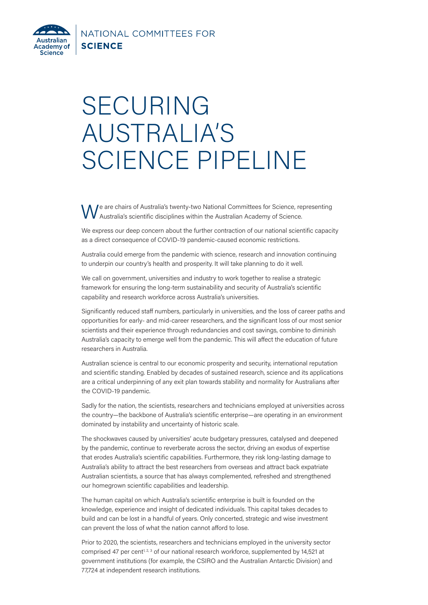NATIONAL COMMITTEES FOR **SCIENCE** 

<span id="page-0-0"></span>

## SECURING AUSTRALIA'S SCIENCE PIPELINE

We are chairs of Australia's twenty-two National Committees for Science, representing Australia's scientific disciplines within the Australian Academy of Science.

We express our deep concern about the further contraction of our national scientific capacity as a direct consequence of COVID-19 pandemic-caused economic restrictions.

Australia could emerge from the pandemic with science, research and innovation continuing to underpin our country's health and prosperity. It will take planning to do it well.

We call on government, universities and industry to work together to realise a strategic framework for ensuring the long-term sustainability and security of Australia's scientific capability and research workforce across Australia's universities.

Significantly reduced staff numbers, particularly in universities, and the loss of career paths and opportunities for early- and mid-career researchers, and the significant loss of our most senior scientists and their experience through redundancies and cost savings, combine to diminish Australia's capacity to emerge well from the pandemic. This will affect the education of future researchers in Australia.

Australian science is central to our economic prosperity and security, international reputation and scientific standing. Enabled by decades of sustained research, science and its applications are a critical underpinning of any exit plan towards stability and normality for Australians after the COVID-19 pandemic.

Sadly for the nation, the scientists, researchers and technicians employed at universities across the country—the backbone of Australia's scientific enterprise—are operating in an environment dominated by instability and uncertainty of historic scale.

The shockwaves caused by universities' acute budgetary pressures, catalysed and deepened by the pandemic, continue to reverberate across the sector, driving an exodus of expertise that erodes Australia's scientific capabilities. Furthermore, they risk long-lasting damage to Australia's ability to attract the best researchers from overseas and attract back expatriate Australian scientists, a source that has always complemented, refreshed and strengthened our homegrown scientific capabilities and leadership.

The human capital on which Australia's scientific enterprise is built is founded on the knowledge, experience and insight of dedicated individuals. This capital takes decades to build and can be lost in a handful of years. Only concerted, strategic and wise investment can prevent the loss of what the nation cannot afford to lose.

Prior to 2020, the scientists, researchers and technicians employed in the university sector comprised 47 per cent<sup>[1, 2, 3](#page-1-0)</sup> of our national research workforce, supplemented by 14,521 at government institutions (for example, the CSIRO and the Australian Antarctic Division) and 77,724 at independent research institutions.